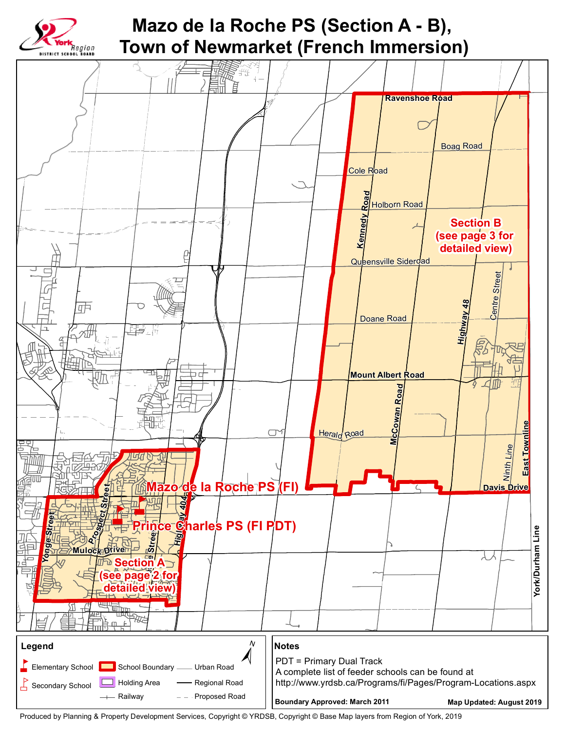

## **Mazo de la Roche PS (Section A - B), Town of Newmarket (French Immersion)**



Produced by Planning & Property Development Services, Copyright © YRDSB, Copyright © Base Map layers from Region of York, 2019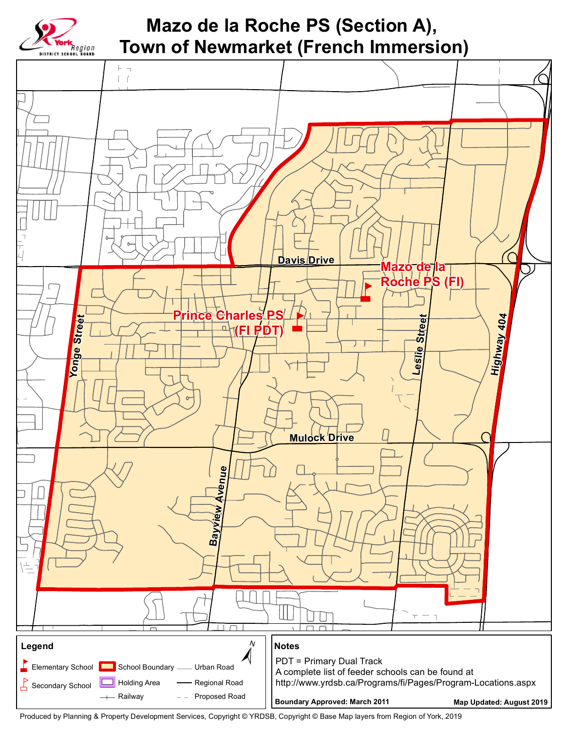

## Mazo de la Roche PS (Section A), **Town of Newmarket (French Immersion)**



Produced by Planning & Property Development Services, Copyright © YRDSB, Copyright © Base Map layers from Region of York, 2019